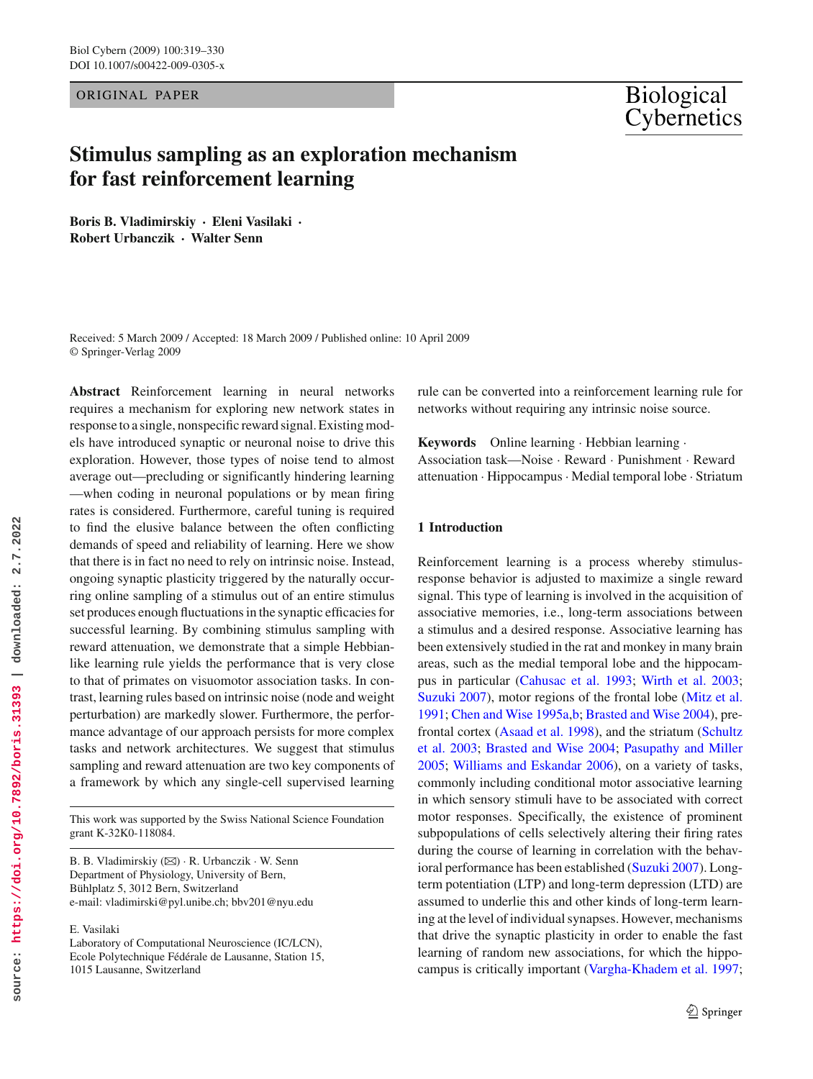ORIGINAL PAPER

# **Stimulus sampling as an exploration mechanism for fast reinforcement learning**

**Boris B. Vladimirskiy · Eleni Vasilaki · Robert Urbanczik · Walter Senn**

Received: 5 March 2009 / Accepted: 18 March 2009 / Published online: 10 April 2009 © Springer-Verlag 2009

**Abstract** Reinforcement learning in neural networks requires a mechanism for exploring new network states in response to a single, nonspecific reward signal. Existing models have introduced synaptic or neuronal noise to drive this exploration. However, those types of noise tend to almost average out—precluding or significantly hindering learning —when coding in neuronal populations or by mean firing rates is considered. Furthermore, careful tuning is required to find the elusive balance between the often conflicting demands of speed and reliability of learning. Here we show that there is in fact no need to rely on intrinsic noise. Instead, ongoing synaptic plasticity triggered by the naturally occurring online sampling of a stimulus out of an entire stimulus set produces enough fluctuations in the synaptic efficacies for successful learning. By combining stimulus sampling with reward attenuation, we demonstrate that a simple Hebbianlike learning rule yields the performance that is very close to that of primates on visuomotor association tasks. In contrast, learning rules based on intrinsic noise (node and weight perturbation) are markedly slower. Furthermore, the performance advantage of our approach persists for more complex tasks and network architectures. We suggest that stimulus sampling and reward attenuation are two key components of a framework by which any single-cell supervised learning

This work was supported by the Swiss National Science Foundation grant K-32K0-118084.

B. B. Vladimirskiy (B) · R. Urbanczik · W. Senn Department of Physiology, University of Bern, Bühlplatz 5, 3012 Bern, Switzerland e-mail: vladimirski@pyl.unibe.ch; bbv201@nyu.edu

E. Vasilaki

Laboratory of Computational Neuroscience (IC/LCN), Ecole Polytechnique Fédérale de Lausanne, Station 15, 1015 Lausanne, Switzerland

rule can be converted into a reinforcement learning rule for networks without requiring any intrinsic noise source.

Biological Cybernetics

**Keywords** Online learning · Hebbian learning · Association task—Noise · Reward · Punishment · Reward attenuation · Hippocampus· Medial temporal lobe · Striatum

## **1 Introduction**

Reinforcement learning is a process whereby stimulusresponse behavior is adjusted to maximize a single reward signal. This type of learning is involved in the acquisition of associative memories, i.e., long-term associations between a stimulus and a desired response. Associative learning has been extensively studied in the rat and monkey in many brain areas, such as the medial temporal lobe and the hippocampus in particular (Cahusac et al. 1993; Wirth et al. 2003; Suzuki 2007), motor regions of the frontal lobe [\(Mitz et al.](#page-11-0) [1991](#page-11-0); Chen and Wise 1995a,b; Brasted and Wise 2004), prefrontal cortex (Asaad et al. 1998), and the striatum (Schultz et al. 2003; Brasted and Wise 2004; Pasupathy and Miller 2005; Williams and Eskandar 2006), on a variety of tasks, commonly including conditional motor associative learning in which sensory stimuli have to be associated with correct motor responses. Specifically, the existence of prominent subpopulations of cells selectively altering their firing rates during the course of learning in correlation with the behavioral performance has been established (Suzuki 2007). Longterm potentiation (LTP) and long-term depression (LTD) are assumed to underlie this and other kinds of long-term learning at the level of individual synapses. However, mechanisms that drive the synaptic plasticity in order to enable the fast learning of random new associations, for which the hippocampus is critically important (Vargha-Khadem et al. 1997;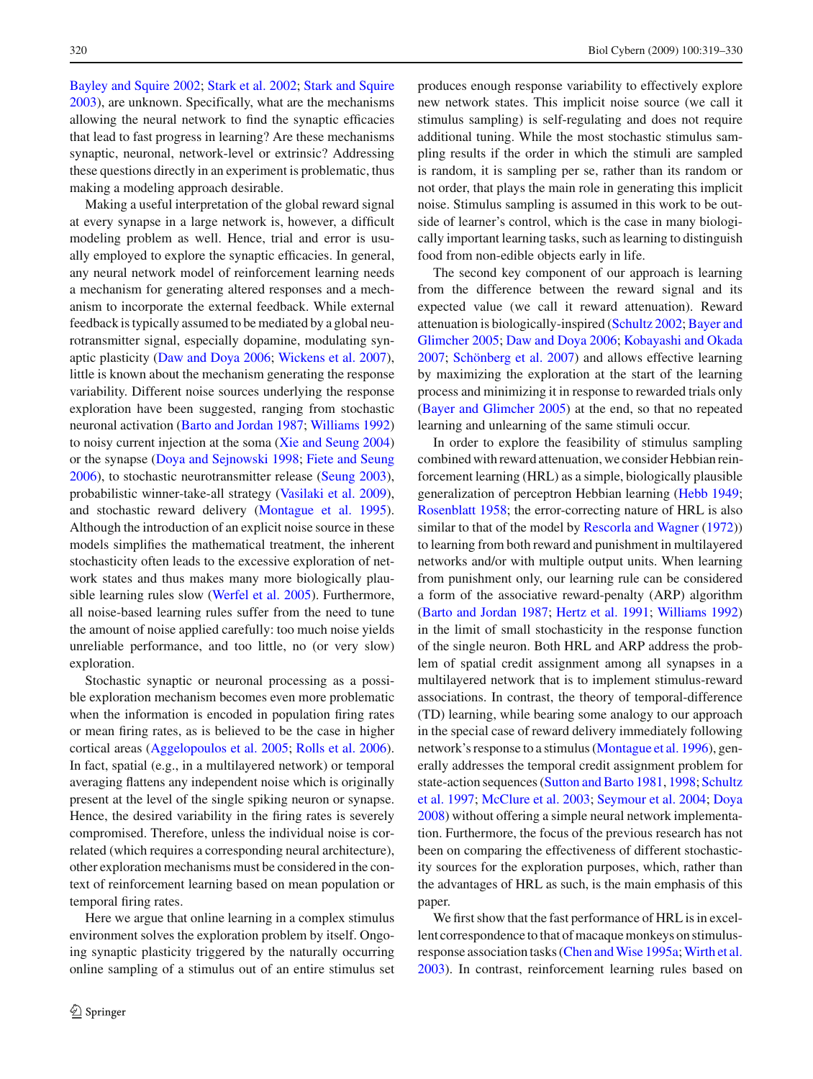Bayley and Squire 2002; Stark et al. 2002; Stark and Squire 2003), are unknown. Specifically, what are the mechanisms allowing the neural network to find the synaptic efficacies that lead to fast progress in learning? Are these mechanisms synaptic, neuronal, network-level or extrinsic? Addressing these questions directly in an experiment is problematic, thus making a modeling approach desirable.

Making a useful interpretation of the global reward signal at every synapse in a large network is, however, a difficult modeling problem as well. Hence, trial and error is usually employed to explore the synaptic efficacies. In general, any neural network model of reinforcement learning needs a mechanism for generating altered responses and a mechanism to incorporate the external feedback. While external feedback is typically assumed to be mediated by a global neurotransmitter signal, especially dopamine, modulating synaptic plasticity (Daw and Doya 2006; Wickens et al. 2007), little is known about the mechanism generating the response variability. Different noise sources underlying the response exploration have been suggested, ranging from stochastic neuronal activation (Barto and Jordan 1987; Williams 1992) to noisy current injection at the soma (Xie and Seung 2004) or the synapse [\(Doya and Sejnowski 1998](#page-11-1); Fiete and Seung 2006), to stochastic neurotransmitter release [\(Seung 2003](#page-11-2)), probabilistic winner-take-all strategy (Vasilaki et al. 2009), and stochastic reward delivery (Montague et al. 1995). Although the introduction of an explicit noise source in these models simplifies the mathematical treatment, the inherent stochasticity often leads to the excessive exploration of network states and thus makes many more biologically plausible learning rules slow (Werfel et al. 2005). Furthermore, all noise-based learning rules suffer from the need to tune the amount of noise applied carefully: too much noise yields unreliable performance, and too little, no (or very slow) exploration.

Stochastic synaptic or neuronal processing as a possible exploration mechanism becomes even more problematic when the information is encoded in population firing rates or mean firing rates, as is believed to be the case in higher cortical areas (Aggelopoulos et al. 2005; Rolls et al. 2006). In fact, spatial (e.g., in a multilayered network) or temporal averaging flattens any independent noise which is originally present at the level of the single spiking neuron or synapse. Hence, the desired variability in the firing rates is severely compromised. Therefore, unless the individual noise is correlated (which requires a corresponding neural architecture), other exploration mechanisms must be considered in the context of reinforcement learning based on mean population or temporal firing rates.

Here we argue that online learning in a complex stimulus environment solves the exploration problem by itself. Ongoing synaptic plasticity triggered by the naturally occurring online sampling of a stimulus out of an entire stimulus set produces enough response variability to effectively explore new network states. This implicit noise source (we call it stimulus sampling) is self-regulating and does not require additional tuning. While the most stochastic stimulus sampling results if the order in which the stimuli are sampled is random, it is sampling per se, rather than its random or not order, that plays the main role in generating this implicit noise. Stimulus sampling is assumed in this work to be outside of learner's control, which is the case in many biologically important learning tasks, such as learning to distinguish food from non-edible objects early in life.

The second key component of our approach is learning from the difference between the reward signal and its expected value (we call it reward attenuation). Reward attenuation is biologically-inspired (Schultz 2002; Bayer and Glimcher 2005; Daw and Doya 2006; Kobayashi and Okada 2007; Schönberg et al. 2007) and allows effective learning by maximizing the exploration at the start of the learning process and minimizing it in response to rewarded trials only (Bayer and Glimcher 2005) at the end, so that no repeated learning and unlearning of the same stimuli occur.

In order to explore the feasibility of stimulus sampling combined with reward attenuation, we consider Hebbian reinforcement learning (HRL) as a simple, biologically plausible generalization of perceptron Hebbian learning (Hebb 1949; Rosenblatt 1958; the error-correcting nature of HRL is also similar to that of the model by Rescorla and Wagner (1972)) to learning from both reward and punishment in multilayered networks and/or with multiple output units. When learning from punishment only, our learning rule can be considered a form of the associative reward-penalty (ARP) algorithm (Barto and Jordan 1987; Hertz et al. 1991; Williams 1992) in the limit of small stochasticity in the response function of the single neuron. Both HRL and ARP address the problem of spatial credit assignment among all synapses in a multilayered network that is to implement stimulus-reward associations. In contrast, the theory of temporal-difference (TD) learning, while bearing some analogy to our approach in the special case of reward delivery immediately following network's response to a stimulus (Montague et al. 1996), generally addresses the temporal credit assignment problem for state-action sequences (Sutton and Barto 1981, 1998; Schultz et al. 1997; McClure et al. 2003; Seymour et al. 2004; Doya 2008) without offering a simple neural network implementation. Furthermore, the focus of the previous research has not been on comparing the effectiveness of different stochasticity sources for the exploration purposes, which, rather than the advantages of HRL as such, is the main emphasis of this paper.

We first show that the fast performance of HRL is in excellent correspondence to that of macaque monkeys on stimulusresponse association tasks (Chen and Wise 1995a; Wirth et al. 2003). In contrast, reinforcement learning rules based on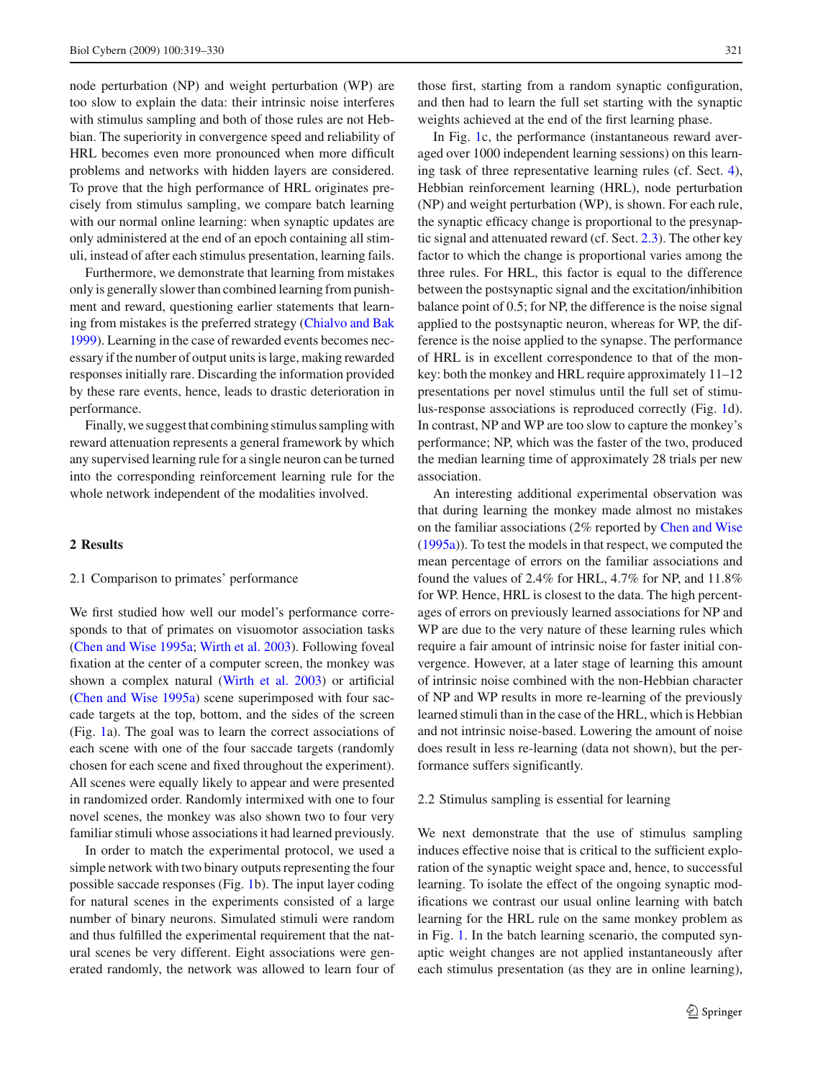node perturbation (NP) and weight perturbation (WP) are too slow to explain the data: their intrinsic noise interferes with stimulus sampling and both of those rules are not Hebbian. The superiority in convergence speed and reliability of HRL becomes even more pronounced when more difficult problems and networks with hidden layers are considered. To prove that the high performance of HRL originates precisely from stimulus sampling, we compare batch learning with our normal online learning: when synaptic updates are only administered at the end of an epoch containing all stimuli, instead of after each stimulus presentation, learning fails.

Furthermore, we demonstrate that learning from mistakes only is generally slower than combined learning from punishment and reward, questioning earlier statements that learning from mistakes is the preferred strategy (Chialvo and Bak 1999). Learning in the case of rewarded events becomes necessary if the number of output units is large, making rewarded responses initially rare. Discarding the information provided by these rare events, hence, leads to drastic deterioration in performance.

Finally, we suggest that combining stimulus sampling with reward attenuation represents a general framework by which any supervised learning rule for a single neuron can be turned into the corresponding reinforcement learning rule for the whole network independent of the modalities involved.

## **2 Results**

## 2.1 Comparison to primates' performance

We first studied how well our model's performance corresponds to that of primates on visuomotor association tasks (Chen and Wise 1995a; Wirth et al. 2003). Following foveal fixation at the center of a computer screen, the monkey was shown a complex natural (Wirth et al. 2003) or artificial (Chen and Wise 1995a) scene superimposed with four saccade targets at the top, bottom, and the sides of the screen (Fig. 1a). The goal was to learn the correct associations of each scene with one of the four saccade targets (randomly chosen for each scene and fixed throughout the experiment). All scenes were equally likely to appear and were presented in randomized order. Randomly intermixed with one to four novel scenes, the monkey was also shown two to four very familiar stimuli whose associations it had learned previously.

In order to match the experimental protocol, we used a simple network with two binary outputs representing the four possible saccade responses (Fig. 1b). The input layer coding for natural scenes in the experiments consisted of a large number of binary neurons. Simulated stimuli were random and thus fulfilled the experimental requirement that the natural scenes be very different. Eight associations were generated randomly, the network was allowed to learn four of

those first, starting from a random synaptic configuration, and then had to learn the full set starting with the synaptic weights achieved at the end of the first learning phase.

In Fig. 1c, the performance (instantaneous reward averaged over 1000 independent learning sessions) on this learning task of three representative learning rules (cf. Sect. [4\)](#page-8-0), Hebbian reinforcement learning (HRL), node perturbation (NP) and weight perturbation (WP), is shown. For each rule, the synaptic efficacy change is proportional to the presynaptic signal and attenuated reward (cf. Sect. 2.3). The other key factor to which the change is proportional varies among the three rules. For HRL, this factor is equal to the difference between the postsynaptic signal and the excitation/inhibition balance point of 0.5; for NP, the difference is the noise signal applied to the postsynaptic neuron, whereas for WP, the difference is the noise applied to the synapse. The performance of HRL is in excellent correspondence to that of the monkey: both the monkey and HRL require approximately 11–12 presentations per novel stimulus until the full set of stimulus-response associations is reproduced correctly (Fig. 1d). In contrast, NP and WP are too slow to capture the monkey's performance; NP, which was the faster of the two, produced the median learning time of approximately 28 trials per new association.

An interesting additional experimental observation was that during learning the monkey made almost no mistakes on the familiar associations (2% reported by Chen and Wise (1995a)). To test the models in that respect, we computed the mean percentage of errors on the familiar associations and found the values of 2.4% for HRL, 4.7% for NP, and 11.8% for WP. Hence, HRL is closest to the data. The high percentages of errors on previously learned associations for NP and WP are due to the very nature of these learning rules which require a fair amount of intrinsic noise for faster initial convergence. However, at a later stage of learning this amount of intrinsic noise combined with the non-Hebbian character of NP and WP results in more re-learning of the previously learned stimuli than in the case of the HRL, which is Hebbian and not intrinsic noise-based. Lowering the amount of noise does result in less re-learning (data not shown), but the performance suffers significantly.

#### 2.2 Stimulus sampling is essential for learning

We next demonstrate that the use of stimulus sampling induces effective noise that is critical to the sufficient exploration of the synaptic weight space and, hence, to successful learning. To isolate the effect of the ongoing synaptic modifications we contrast our usual online learning with batch learning for the HRL rule on the same monkey problem as in Fig. 1. In the batch learning scenario, the computed synaptic weight changes are not applied instantaneously after each stimulus presentation (as they are in online learning),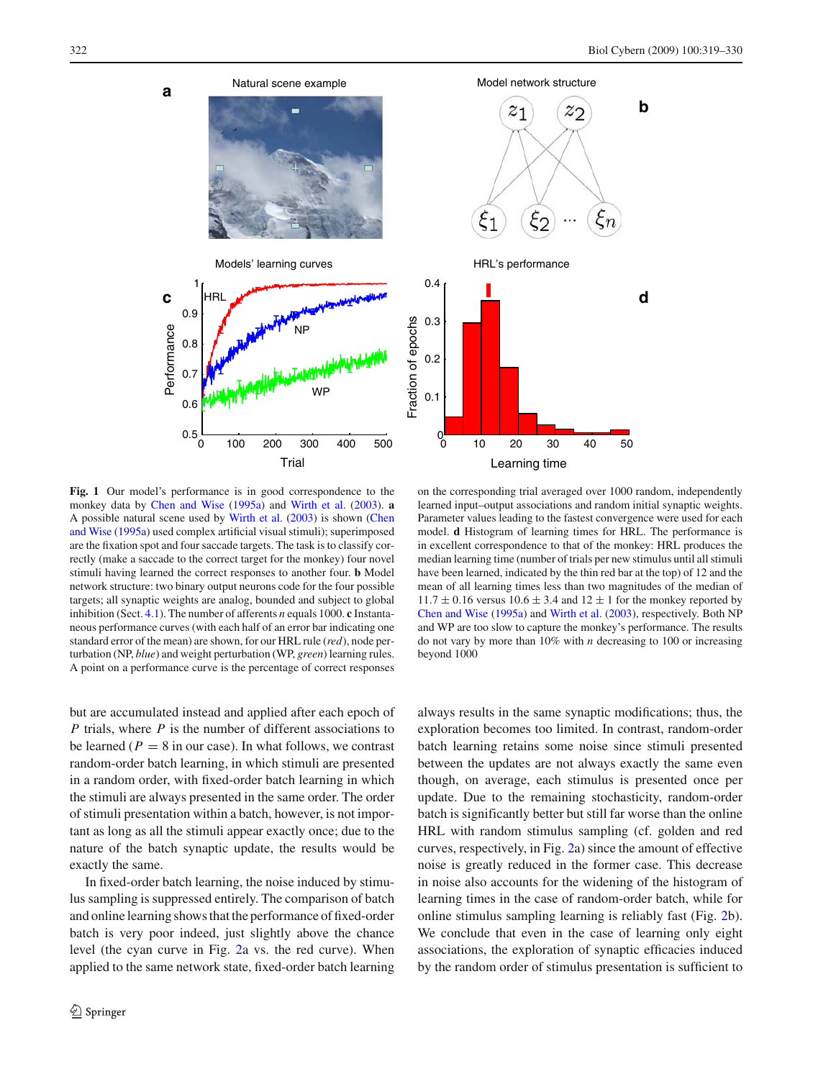



**Fig. 1** Our model's performance is in good correspondence to the monkey data by Chen and Wise (1995a) and Wirth et al. (2003). **a** A possible natural scene used by Wirth et al. (2003) is shown (Chen and Wise (1995a) used complex artificial visual stimuli); superimposed are the fixation spot and four saccade targets. The task is to classify correctly (make a saccade to the correct target for the monkey) four novel stimuli having learned the correct responses to another four. **b** Model network structure: two binary output neurons code for the four possible targets; all synaptic weights are analog, bounded and subject to global inhibition (Sect. 4.1). The number of afferents *n* equals 1000. **c** Instantaneous performance curves (with each half of an error bar indicating one standard error of the mean) are shown, for our HRL rule (*red*), node perturbation (NP, *blue*) and weight perturbation (WP, *green*) learning rules. A point on a performance curve is the percentage of correct responses

on the corresponding trial averaged over 1000 random, independently learned input–output associations and random initial synaptic weights. Parameter values leading to the fastest convergence were used for each model. **d** Histogram of learning times for HRL. The performance is in excellent correspondence to that of the monkey: HRL produces the median learning time (number of trials per new stimulus until all stimuli have been learned, indicated by the thin red bar at the top) of 12 and the mean of all learning times less than two magnitudes of the median of  $11.7 \pm 0.16$  versus  $10.6 \pm 3.4$  and  $12 \pm 1$  for the monkey reported by Chen and Wise (1995a) and Wirth et al. (2003), respectively. Both NP and WP are too slow to capture the monkey's performance. The results do not vary by more than 10% with *n* decreasing to 100 or increasing beyond 1000

but are accumulated instead and applied after each epoch of *P* trials, where *P* is the number of different associations to be learned ( $P = 8$  in our case). In what follows, we contrast random-order batch learning, in which stimuli are presented in a random order, with fixed-order batch learning in which the stimuli are always presented in the same order. The order of stimuli presentation within a batch, however, is not important as long as all the stimuli appear exactly once; due to the nature of the batch synaptic update, the results would be exactly the same.

In fixed-order batch learning, the noise induced by stimulus sampling is suppressed entirely. The comparison of batch and online learning shows that the performance of fixed-order batch is very poor indeed, just slightly above the chance level (the cyan curve in Fig. [2a](#page-4-0) vs. the red curve). When applied to the same network state, fixed-order batch learning always results in the same synaptic modifications; thus, the exploration becomes too limited. In contrast, random-order batch learning retains some noise since stimuli presented between the updates are not always exactly the same even though, on average, each stimulus is presented once per update. Due to the remaining stochasticity, random-order batch is significantly better but still far worse than the online HRL with random stimulus sampling (cf. golden and red curves, respectively, in Fig. [2a](#page-4-0)) since the amount of effective noise is greatly reduced in the former case. This decrease in noise also accounts for the widening of the histogram of learning times in the case of random-order batch, while for online stimulus sampling learning is reliably fast (Fig. [2b](#page-4-0)). We conclude that even in the case of learning only eight associations, the exploration of synaptic efficacies induced by the random order of stimulus presentation is sufficient to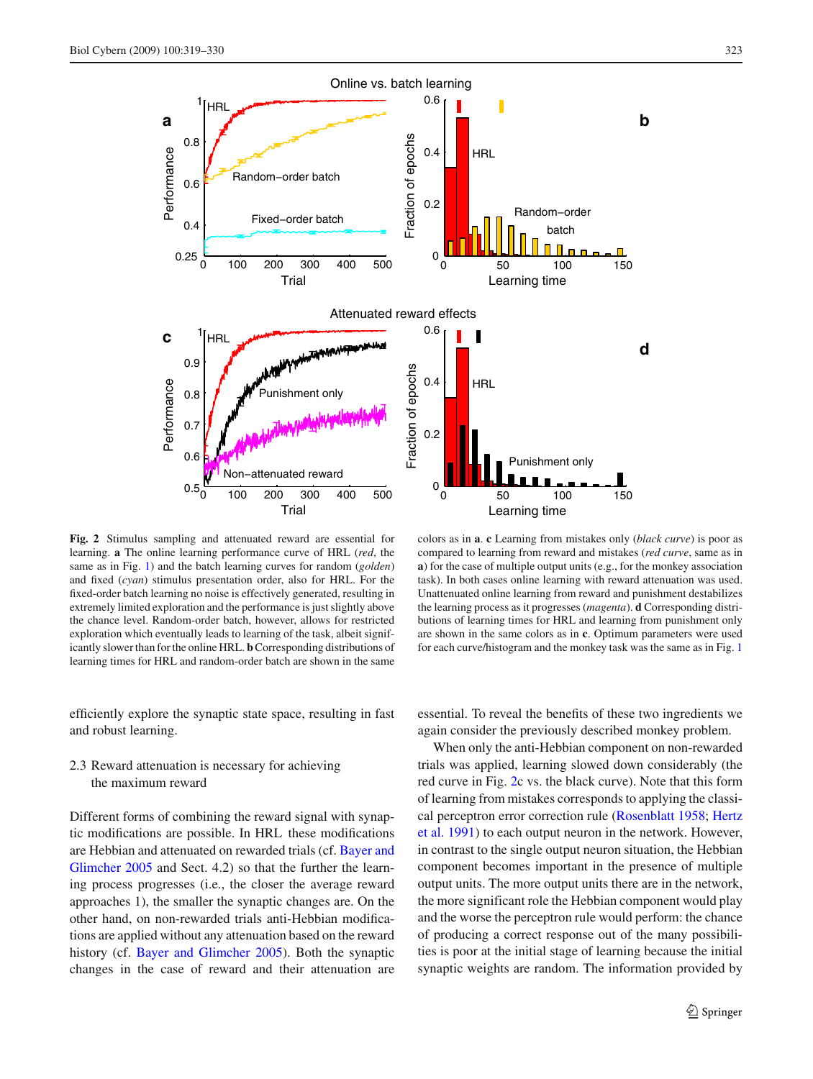

<span id="page-4-0"></span>**Fig. 2** Stimulus sampling and attenuated reward are essential for learning. **a** The online learning performance curve of HRL (*red*, the same as in Fig. 1) and the batch learning curves for random (*golden*) and fixed (*cyan*) stimulus presentation order, also for HRL. For the fixed-order batch learning no noise is effectively generated, resulting in extremely limited exploration and the performance is just slightly above the chance level. Random-order batch, however, allows for restricted exploration which eventually leads to learning of the task, albeit significantly slower than for the online HRL. **b**Corresponding distributions of learning times for HRL and random-order batch are shown in the same

efficiently explore the synaptic state space, resulting in fast and robust learning.

# 2.3 Reward attenuation is necessary for achieving the maximum reward

Different forms of combining the reward signal with synaptic modifications are possible. In HRL these modifications are Hebbian and attenuated on rewarded trials (cf. Bayer and Glimcher 2005 and Sect. 4.2) so that the further the learning process progresses (i.e., the closer the average reward approaches 1), the smaller the synaptic changes are. On the other hand, on non-rewarded trials anti-Hebbian modifications are applied without any attenuation based on the reward history (cf. Bayer and Glimcher 2005). Both the synaptic changes in the case of reward and their attenuation are

colors as in **a**. **c** Learning from mistakes only (*black curve*) is poor as compared to learning from reward and mistakes (*red curve*, same as in **a**) for the case of multiple output units (e.g., for the monkey association task). In both cases online learning with reward attenuation was used. Unattenuated online learning from reward and punishment destabilizes the learning process as it progresses (*magenta*). **d** Corresponding distributions of learning times for HRL and learning from punishment only are shown in the same colors as in **c**. Optimum parameters were used for each curve/histogram and the monkey task was the same as in Fig. 1

essential. To reveal the benefits of these two ingredients we again consider the previously described monkey problem.

When only the anti-Hebbian component on non-rewarded trials was applied, learning slowed down considerably (the red curve in Fig. [2c](#page-4-0) vs. the black curve). Note that this form of learning from mistakes corresponds to applying the classical perceptron error correction rule (Rosenblatt 1958; Hertz et al. 1991) to each output neuron in the network. However, in contrast to the single output neuron situation, the Hebbian component becomes important in the presence of multiple output units. The more output units there are in the network, the more significant role the Hebbian component would play and the worse the perceptron rule would perform: the chance of producing a correct response out of the many possibilities is poor at the initial stage of learning because the initial synaptic weights are random. The information provided by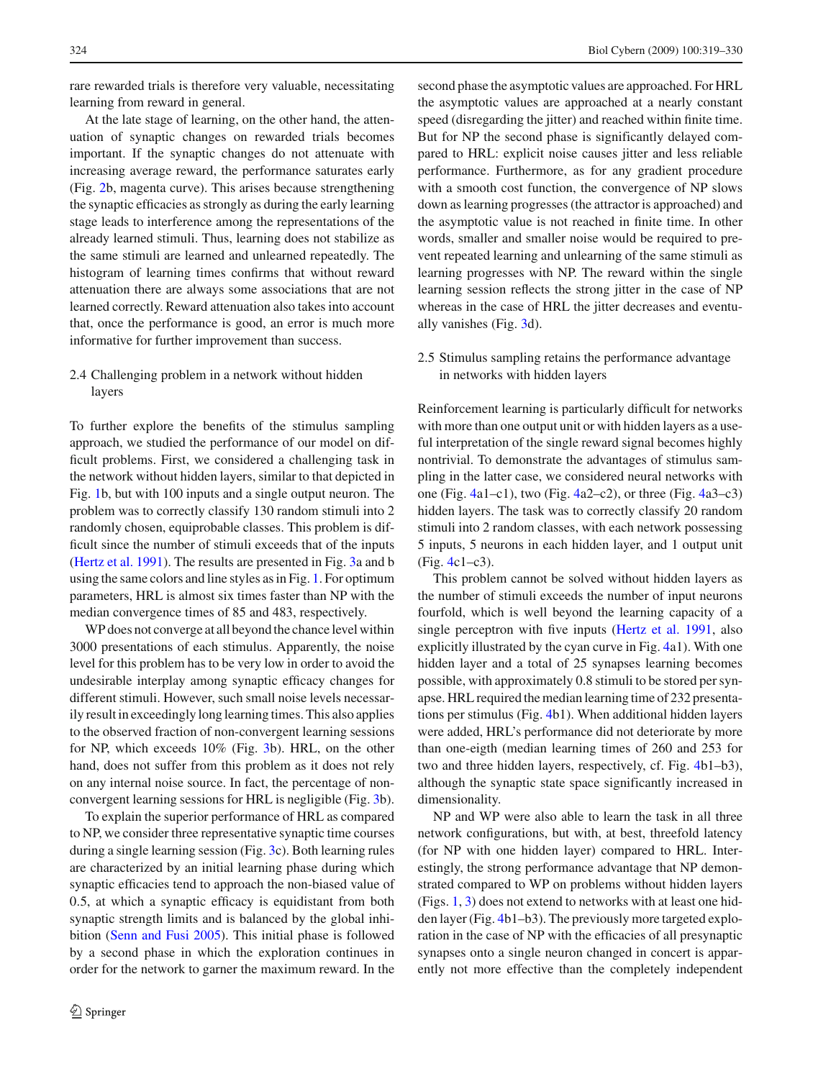rare rewarded trials is therefore very valuable, necessitating learning from reward in general.

At the late stage of learning, on the other hand, the attenuation of synaptic changes on rewarded trials becomes important. If the synaptic changes do not attenuate with increasing average reward, the performance saturates early (Fig. [2b](#page-4-0), magenta curve). This arises because strengthening the synaptic efficacies as strongly as during the early learning stage leads to interference among the representations of the already learned stimuli. Thus, learning does not stabilize as the same stimuli are learned and unlearned repeatedly. The histogram of learning times confirms that without reward attenuation there are always some associations that are not learned correctly. Reward attenuation also takes into account that, once the performance is good, an error is much more informative for further improvement than success.

# 2.4 Challenging problem in a network without hidden layers

To further explore the benefits of the stimulus sampling approach, we studied the performance of our model on difficult problems. First, we considered a challenging task in the network without hidden layers, similar to that depicted in Fig. 1b, but with 100 inputs and a single output neuron. The problem was to correctly classify 130 random stimuli into 2 randomly chosen, equiprobable classes. This problem is difficult since the number of stimuli exceeds that of the inputs (Hertz et al. 1991). The results are presented in Fig. [3a](#page-6-0) and b using the same colors and line styles as in Fig. 1. For optimum parameters, HRL is almost six times faster than NP with the median convergence times of 85 and 483, respectively.

WP does not converge at all beyond the chance level within 3000 presentations of each stimulus. Apparently, the noise level for this problem has to be very low in order to avoid the undesirable interplay among synaptic efficacy changes for different stimuli. However, such small noise levels necessarily result in exceedingly long learning times. This also applies to the observed fraction of non-convergent learning sessions for NP, which exceeds 10% (Fig. [3b](#page-6-0)). HRL, on the other hand, does not suffer from this problem as it does not rely on any internal noise source. In fact, the percentage of nonconvergent learning sessions for HRL is negligible (Fig. [3b](#page-6-0)).

To explain the superior performance of HRL as compared to NP, we consider three representative synaptic time courses during a single learning session (Fig. [3c](#page-6-0)). Both learning rules are characterized by an initial learning phase during which synaptic efficacies tend to approach the non-biased value of 0.5, at which a synaptic efficacy is equidistant from both synaptic strength limits and is balanced by the global inhibition (Senn and Fusi 2005). This initial phase is followed by a second phase in which the exploration continues in order for the network to garner the maximum reward. In the second phase the asymptotic values are approached. For HRL the asymptotic values are approached at a nearly constant speed (disregarding the jitter) and reached within finite time. But for NP the second phase is significantly delayed compared to HRL: explicit noise causes jitter and less reliable performance. Furthermore, as for any gradient procedure with a smooth cost function, the convergence of NP slows down as learning progresses (the attractor is approached) and the asymptotic value is not reached in finite time. In other words, smaller and smaller noise would be required to prevent repeated learning and unlearning of the same stimuli as learning progresses with NP. The reward within the single learning session reflects the strong jitter in the case of NP whereas in the case of HRL the jitter decreases and eventually vanishes (Fig. [3d](#page-6-0)).

2.5 Stimulus sampling retains the performance advantage in networks with hidden layers

Reinforcement learning is particularly difficult for networks with more than one output unit or with hidden layers as a useful interpretation of the single reward signal becomes highly nontrivial. To demonstrate the advantages of stimulus sampling in the latter case, we considered neural networks with one (Fig. 4a1–c1), two (Fig. 4a2–c2), or three (Fig. 4a3–c3) hidden layers. The task was to correctly classify 20 random stimuli into 2 random classes, with each network possessing 5 inputs, 5 neurons in each hidden layer, and 1 output unit (Fig. 4c1–c3).

This problem cannot be solved without hidden layers as the number of stimuli exceeds the number of input neurons fourfold, which is well beyond the learning capacity of a single perceptron with five inputs (Hertz et al. 1991, also explicitly illustrated by the cyan curve in Fig. 4a1). With one hidden layer and a total of 25 synapses learning becomes possible, with approximately 0.8 stimuli to be stored per synapse. HRL required the median learning time of 232 presentations per stimulus (Fig. 4b1). When additional hidden layers were added, HRL's performance did not deteriorate by more than one-eigth (median learning times of 260 and 253 for two and three hidden layers, respectively, cf. Fig. 4b1–b3), although the synaptic state space significantly increased in dimensionality.

NP and WP were also able to learn the task in all three network configurations, but with, at best, threefold latency (for NP with one hidden layer) compared to HRL. Interestingly, the strong performance advantage that NP demonstrated compared to WP on problems without hidden layers (Figs. 1, [3\)](#page-6-0) does not extend to networks with at least one hidden layer (Fig. 4b1–b3). The previously more targeted exploration in the case of NP with the efficacies of all presynaptic synapses onto a single neuron changed in concert is apparently not more effective than the completely independent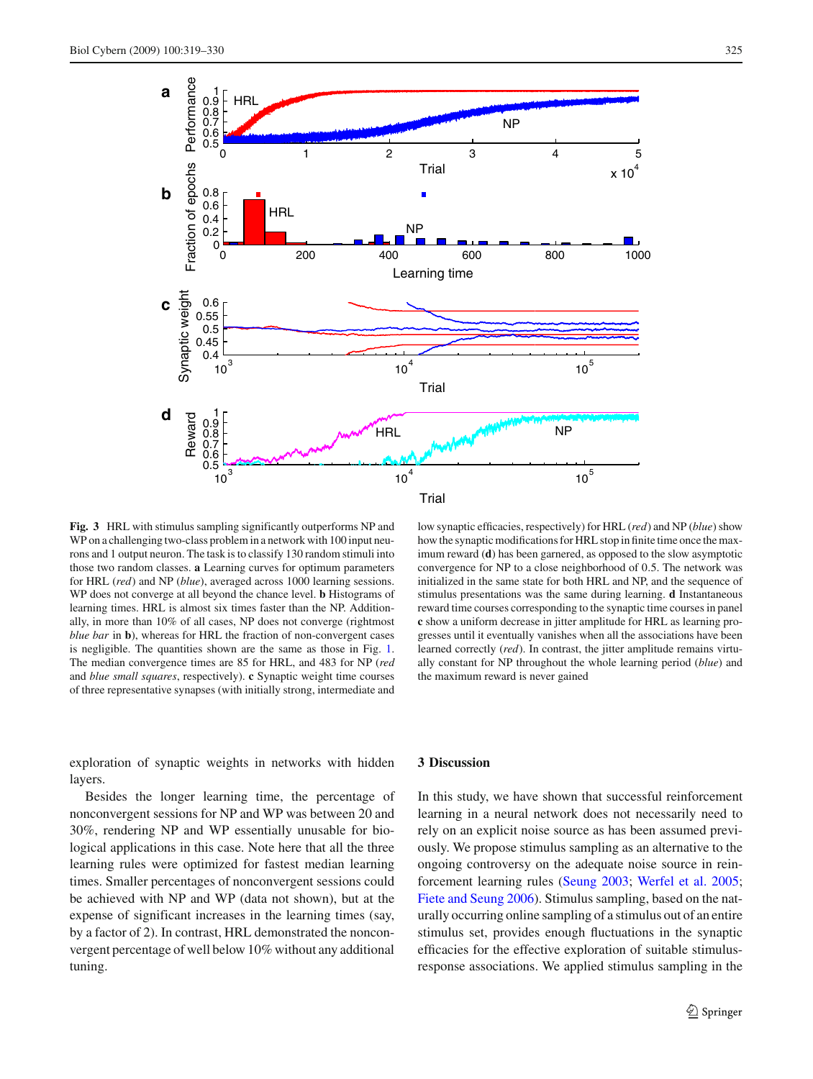

<span id="page-6-0"></span>**Fig. 3** HRL with stimulus sampling significantly outperforms NP and WP on a challenging two-class problem in a network with 100 input neurons and 1 output neuron. The task is to classify 130 random stimuli into those two random classes. **a** Learning curves for optimum parameters for HRL (*red*) and NP (*blue*), averaged across 1000 learning sessions. WP does not converge at all beyond the chance level. **b** Histograms of learning times. HRL is almost six times faster than the NP. Additionally, in more than 10% of all cases, NP does not converge (rightmost *blue bar* in **b**), whereas for HRL the fraction of non-convergent cases is negligible. The quantities shown are the same as those in Fig. 1. The median convergence times are 85 for HRL, and 483 for NP (*red* and *blue small squares*, respectively). **c** Synaptic weight time courses of three representative synapses (with initially strong, intermediate and

exploration of synaptic weights in networks with hidden layers.

Besides the longer learning time, the percentage of nonconvergent sessions for NP and WP was between 20 and 30%, rendering NP and WP essentially unusable for biological applications in this case. Note here that all the three learning rules were optimized for fastest median learning times. Smaller percentages of nonconvergent sessions could be achieved with NP and WP (data not shown), but at the expense of significant increases in the learning times (say, by a factor of 2). In contrast, HRL demonstrated the nonconvergent percentage of well below 10% without any additional tuning.

low synaptic efficacies, respectively) for HRL (*red*) and NP (*blue*) show how the synaptic modifications for HRL stop in finite time once the maximum reward (**d**) has been garnered, as opposed to the slow asymptotic convergence for NP to a close neighborhood of 0.5. The network was initialized in the same state for both HRL and NP, and the sequence of stimulus presentations was the same during learning. **d** Instantaneous reward time courses corresponding to the synaptic time courses in panel **c** show a uniform decrease in jitter amplitude for HRL as learning progresses until it eventually vanishes when all the associations have been learned correctly (*red*). In contrast, the jitter amplitude remains virtually constant for NP throughout the whole learning period (*blue*) and the maximum reward is never gained

#### **3 Discussion**

In this study, we have shown that successful reinforcement learning in a neural network does not necessarily need to rely on an explicit noise source as has been assumed previously. We propose stimulus sampling as an alternative to the ongoing controversy on the adequate noise source in reinforcement learning rules [\(Seung 2003;](#page-11-2) Werfel et al. 2005; Fiete and Seung 2006). Stimulus sampling, based on the naturally occurring online sampling of a stimulus out of an entire stimulus set, provides enough fluctuations in the synaptic efficacies for the effective exploration of suitable stimulusresponse associations. We applied stimulus sampling in the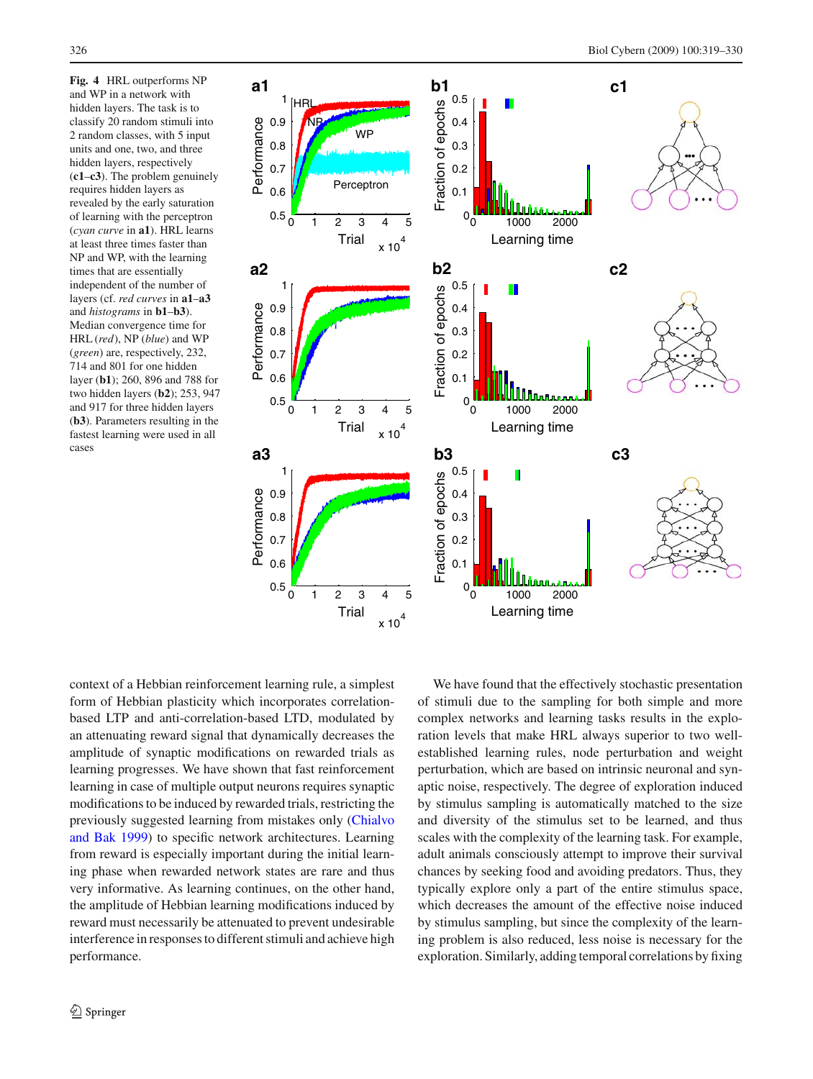**Fig. 4** HRL outperforms NP and WP in a network with hidden layers. The task is to classify 20 random stimuli into 2 random classes, with 5 input units and one, two, and three hidden layers, respectively (**c1**–**c3**). The problem genuinely requires hidden layers as revealed by the early saturation of learning with the perceptron (*cyan curve* in **a1**). HRL learns at least three times faster than NP and WP, with the learning times that are essentially independent of the number of layers (cf. *red curves* in **a1**–**a3** and *histograms* in **b1**–**b3**). Median convergence time for HRL (*red*), NP (*blue*) and WP (*green*) are, respectively, 232, 714 and 801 for one hidden layer (**b1**); 260, 896 and 788 for two hidden layers (**b2**); 253, 947 and 917 for three hidden layers (**b3**). Parameters resulting in the fastest learning were used in all cases



context of a Hebbian reinforcement learning rule, a simplest form of Hebbian plasticity which incorporates correlationbased LTP and anti-correlation-based LTD, modulated by an attenuating reward signal that dynamically decreases the amplitude of synaptic modifications on rewarded trials as learning progresses. We have shown that fast reinforcement learning in case of multiple output neurons requires synaptic modifications to be induced by rewarded trials, restricting the previously suggested learning from mistakes only (Chialvo and Bak 1999) to specific network architectures. Learning from reward is especially important during the initial learning phase when rewarded network states are rare and thus very informative. As learning continues, on the other hand, the amplitude of Hebbian learning modifications induced by reward must necessarily be attenuated to prevent undesirable interference in responses to different stimuli and achieve high performance.

2 Springer

We have found that the effectively stochastic presentation of stimuli due to the sampling for both simple and more complex networks and learning tasks results in the exploration levels that make HRL always superior to two wellestablished learning rules, node perturbation and weight perturbation, which are based on intrinsic neuronal and synaptic noise, respectively. The degree of exploration induced by stimulus sampling is automatically matched to the size and diversity of the stimulus set to be learned, and thus scales with the complexity of the learning task. For example, adult animals consciously attempt to improve their survival chances by seeking food and avoiding predators. Thus, they typically explore only a part of the entire stimulus space, which decreases the amount of the effective noise induced by stimulus sampling, but since the complexity of the learning problem is also reduced, less noise is necessary for the exploration. Similarly, adding temporal correlations by fixing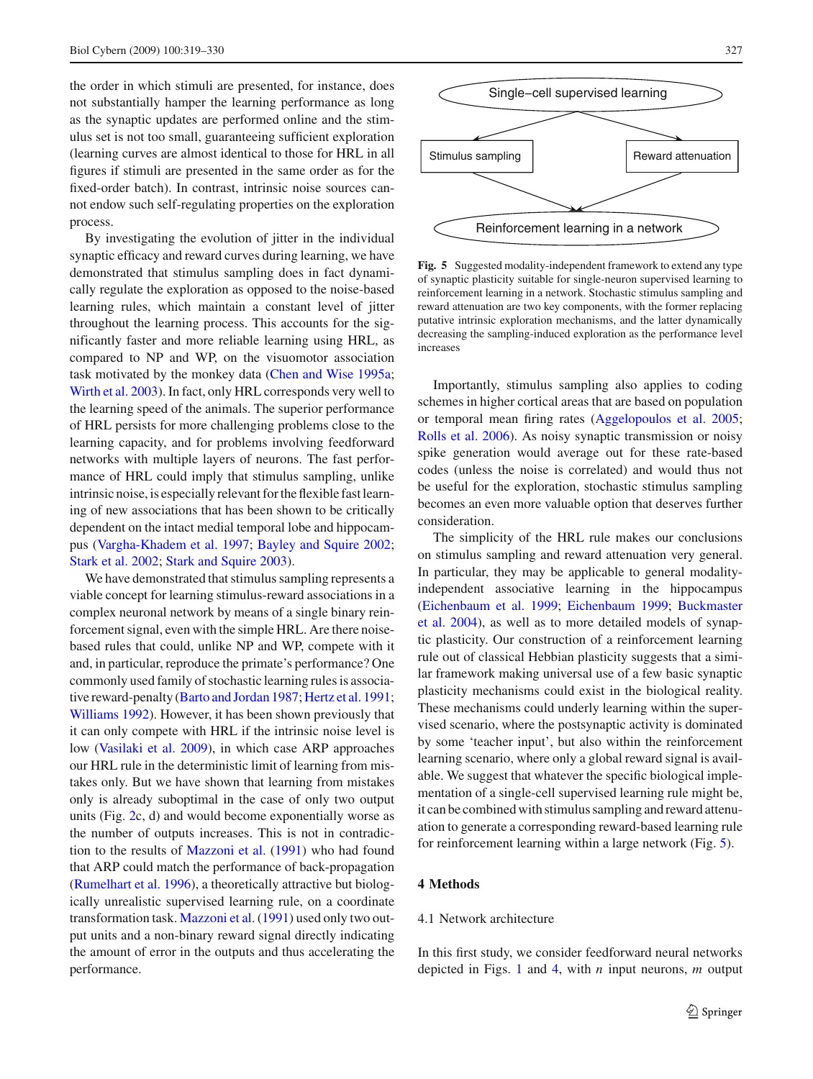the order in which stimuli are presented, for instance, does not substantially hamper the learning performance as long as the synaptic updates are performed online and the stimulus set is not too small, guaranteeing sufficient exploration (learning curves are almost identical to those for HRL in all figures if stimuli are presented in the same order as for the fixed-order batch). In contrast, intrinsic noise sources cannot endow such self-regulating properties on the exploration process.

By investigating the evolution of jitter in the individual synaptic efficacy and reward curves during learning, we have demonstrated that stimulus sampling does in fact dynamically regulate the exploration as opposed to the noise-based learning rules, which maintain a constant level of jitter throughout the learning process. This accounts for the significantly faster and more reliable learning using HRL, as compared to NP and WP, on the visuomotor association task motivated by the monkey data (Chen and Wise 1995a; Wirth et al. 2003). In fact, only HRL corresponds very well to the learning speed of the animals. The superior performance of HRL persists for more challenging problems close to the learning capacity, and for problems involving feedforward networks with multiple layers of neurons. The fast performance of HRL could imply that stimulus sampling, unlike intrinsic noise, is especially relevant for the flexible fast learning of new associations that has been shown to be critically dependent on the intact medial temporal lobe and hippocampus (Vargha-Khadem et al. 1997; Bayley and Squire 2002; Stark et al. 2002; Stark and Squire 2003).

We have demonstrated that stimulus sampling represents a viable concept for learning stimulus-reward associations in a complex neuronal network by means of a single binary reinforcement signal, even with the simple HRL. Are there noisebased rules that could, unlike NP and WP, compete with it and, in particular, reproduce the primate's performance? One commonly used family of stochastic learning rules is associative reward-penalty (Barto and Jordan 1987; Hertz et al. 1991; Williams 1992). However, it has been shown previously that it can only compete with HRL if the intrinsic noise level is low (Vasilaki et al. 2009), in which case ARP approaches our HRL rule in the deterministic limit of learning from mistakes only. But we have shown that learning from mistakes only is already suboptimal in the case of only two output units (Fig. [2c](#page-4-0), d) and would become exponentially worse as the number of outputs increases. This is not in contradiction to the results of Mazzoni et al. (1991) who had found that ARP could match the performance of back-propagation (Rumelhart et al. 1996), a theoretically attractive but biologically unrealistic supervised learning rule, on a coordinate transformation task. Mazzoni et al. (1991) used only two output units and a non-binary reward signal directly indicating the amount of error in the outputs and thus accelerating the performance.



**Fig. 5** Suggested modality-independent framework to extend any type of synaptic plasticity suitable for single-neuron supervised learning to reinforcement learning in a network. Stochastic stimulus sampling and reward attenuation are two key components, with the former replacing putative intrinsic exploration mechanisms, and the latter dynamically decreasing the sampling-induced exploration as the performance level increases

Importantly, stimulus sampling also applies to coding schemes in higher cortical areas that are based on population or temporal mean firing rates (Aggelopoulos et al. 2005; Rolls et al. 2006). As noisy synaptic transmission or noisy spike generation would average out for these rate-based codes (unless the noise is correlated) and would thus not be useful for the exploration, stochastic stimulus sampling becomes an even more valuable option that deserves further consideration.

The simplicity of the HRL rule makes our conclusions on stimulus sampling and reward attenuation very general. In particular, they may be applicable to general modalityindependent associative learning in the hippocampus (Eichenbaum et al. 1999; Eichenbaum 1999; Buckmaster et al. 2004), as well as to more detailed models of synaptic plasticity. Our construction of a reinforcement learning rule out of classical Hebbian plasticity suggests that a similar framework making universal use of a few basic synaptic plasticity mechanisms could exist in the biological reality. These mechanisms could underly learning within the supervised scenario, where the postsynaptic activity is dominated by some 'teacher input', but also within the reinforcement learning scenario, where only a global reward signal is available. We suggest that whatever the specific biological implementation of a single-cell supervised learning rule might be, it can be combined with stimulus sampling and reward attenuation to generate a corresponding reward-based learning rule for reinforcement learning within a large network (Fig. 5).

# <span id="page-8-0"></span>**4 Methods**

# 4.1 Network architecture

In this first study, we consider feedforward neural networks depicted in Figs. 1 and 4, with *n* input neurons, *m* output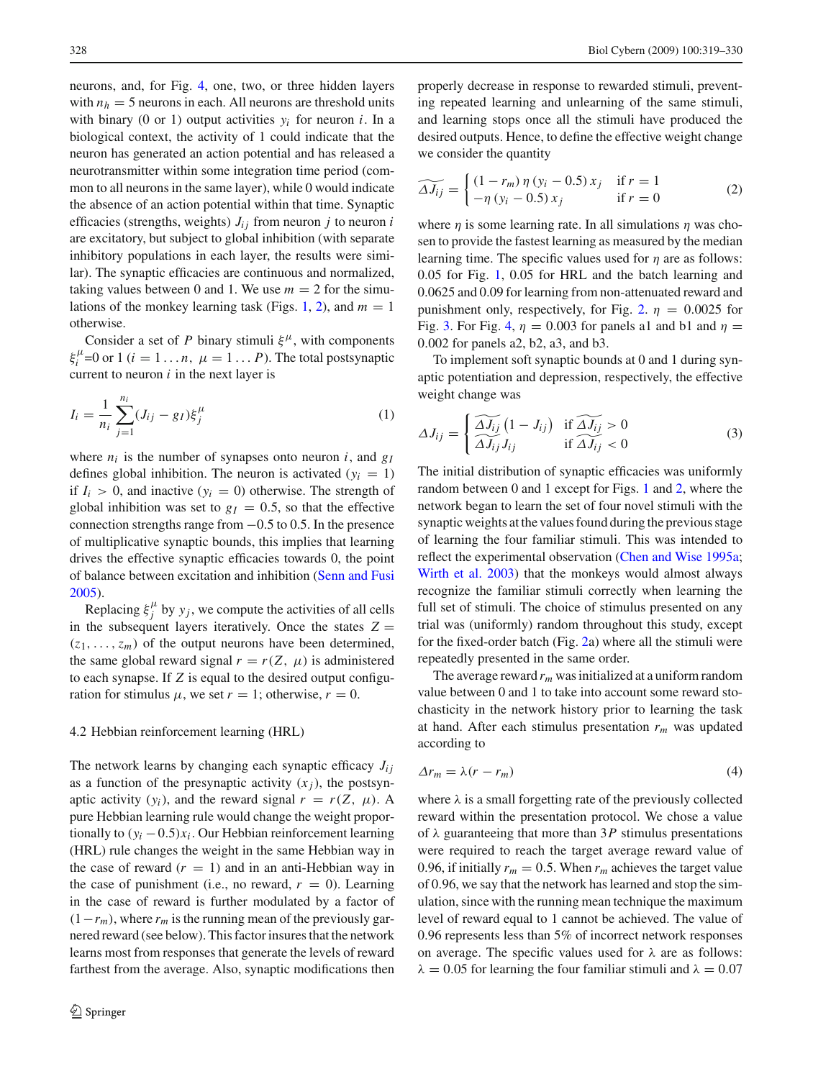neurons, and, for Fig. 4, one, two, or three hidden layers with  $n_h = 5$  neurons in each. All neurons are threshold units with binary (0 or 1) output activities  $y_i$  for neuron *i*. In a biological context, the activity of 1 could indicate that the neuron has generated an action potential and has released a neurotransmitter within some integration time period (common to all neurons in the same layer), while 0 would indicate the absence of an action potential within that time. Synaptic efficacies (strengths, weights)  $J_{ij}$  from neuron  $j$  to neuron  $i$ are excitatory, but subject to global inhibition (with separate inhibitory populations in each layer, the results were similar). The synaptic efficacies are continuous and normalized, taking values between 0 and 1. We use  $m = 2$  for the simu-lations of the monkey learning task (Figs. 1, [2\)](#page-4-0), and  $m = 1$ otherwise.

Consider a set of *P* binary stimuli  $\xi^{\mu}$ , with components  $\xi_i^{\mu} = 0$  or 1 (*i* = 1 ... *n*,  $\mu = 1 \dots P$ ). The total postsynaptic current to neuron *i* in the next layer is

$$
I_i = \frac{1}{n_i} \sum_{j=1}^{n_i} (J_{ij} - g_I) \xi_j^{\mu}
$$
 (1)

where  $n_i$  is the number of synapses onto neuron *i*, and  $g_I$ defines global inhibition. The neuron is activated  $(y_i = 1)$ if  $I_i > 0$ , and inactive  $(y_i = 0)$  otherwise. The strength of global inhibition was set to  $g_I = 0.5$ , so that the effective connection strengths range from −0.5 to 0.5. In the presence of multiplicative synaptic bounds, this implies that learning drives the effective synaptic efficacies towards 0, the point of balance between excitation and inhibition (Senn and Fusi 2005).

Replacing  $\xi_j^{\mu}$  by  $y_j$ , we compute the activities of all cells in the subsequent layers iteratively. Once the states  $Z =$  $(z_1, \ldots, z_m)$  of the output neurons have been determined, the same global reward signal  $r = r(Z, \mu)$  is administered to each synapse. If *Z* is equal to the desired output configuration for stimulus  $\mu$ , we set  $r = 1$ ; otherwise,  $r = 0$ .

#### 4.2 Hebbian reinforcement learning (HRL)

The network learns by changing each synaptic efficacy  $J_{ij}$ as a function of the presynaptic activity  $(x_i)$ , the postsynaptic activity  $(y_i)$ , and the reward signal  $r = r(Z, \mu)$ . A pure Hebbian learning rule would change the weight proportionally to  $(y_i - 0.5)x_i$ . Our Hebbian reinforcement learning (HRL) rule changes the weight in the same Hebbian way in the case of reward  $(r = 1)$  and in an anti-Hebbian way in the case of punishment (i.e., no reward,  $r = 0$ ). Learning in the case of reward is further modulated by a factor of  $(1 - r_m)$ , where  $r_m$  is the running mean of the previously garnered reward (see below). This factor insures that the network learns most from responses that generate the levels of reward farthest from the average. Also, synaptic modifications then properly decrease in response to rewarded stimuli, preventing repeated learning and unlearning of the same stimuli, and learning stops once all the stimuli have produced the desired outputs. Hence, to define the effective weight change we consider the quantity

$$
\widetilde{\Delta J_{ij}} = \begin{cases} (1 - r_m) \, \eta \, (y_i - 0.5) \, x_j & \text{if } r = 1 \\ -\eta \, (y_i - 0.5) \, x_j & \text{if } r = 0 \end{cases} \tag{2}
$$

where  $\eta$  is some learning rate. In all simulations  $\eta$  was chosen to provide the fastest learning as measured by the median learning time. The specific values used for  $\eta$  are as follows: 0.05 for Fig. 1, 0.05 for HRL and the batch learning and 0.0625 and 0.09 for learning from non-attenuated reward and punishment only, respectively, for Fig. [2.](#page-4-0)  $\eta = 0.0025$  for Fig. [3.](#page-6-0) For Fig. 4,  $\eta = 0.003$  for panels al and bl and  $\eta =$ 0.002 for panels a2, b2, a3, and b3.

To implement soft synaptic bounds at 0 and 1 during synaptic potentiation and depression, respectively, the effective weight change was

$$
\Delta J_{ij} = \begin{cases} \widetilde{\Delta J_{ij}} (1 - J_{ij}) & \text{if } \widetilde{\Delta J_{ij}} > 0\\ \widetilde{\Delta J_{ij}} J_{ij} & \text{if } \widetilde{\Delta J_{ij}} < 0 \end{cases}
$$
 (3)

The initial distribution of synaptic efficacies was uniformly random between 0 and 1 except for Figs. 1 and [2,](#page-4-0) where the network began to learn the set of four novel stimuli with the synaptic weights at the values found during the previous stage of learning the four familiar stimuli. This was intended to reflect the experimental observation (Chen and Wise 1995a; Wirth et al. 2003) that the monkeys would almost always recognize the familiar stimuli correctly when learning the full set of stimuli. The choice of stimulus presented on any trial was (uniformly) random throughout this study, except for the fixed-order batch (Fig. [2a](#page-4-0)) where all the stimuli were repeatedly presented in the same order.

The average reward  $r_m$  was initialized at a uniform random value between 0 and 1 to take into account some reward stochasticity in the network history prior to learning the task at hand. After each stimulus presentation *rm* was updated according to

$$
\Delta r_m = \lambda (r - r_m) \tag{4}
$$

where  $\lambda$  is a small forgetting rate of the previously collected reward within the presentation protocol. We chose a value of  $\lambda$  guaranteeing that more than 3*P* stimulus presentations were required to reach the target average reward value of 0.96, if initially  $r_m = 0.5$ . When  $r_m$  achieves the target value of 0.96, we say that the network has learned and stop the simulation, since with the running mean technique the maximum level of reward equal to 1 cannot be achieved. The value of 0.96 represents less than 5% of incorrect network responses on average. The specific values used for  $\lambda$  are as follows:  $\lambda = 0.05$  for learning the four familiar stimuli and  $\lambda = 0.07$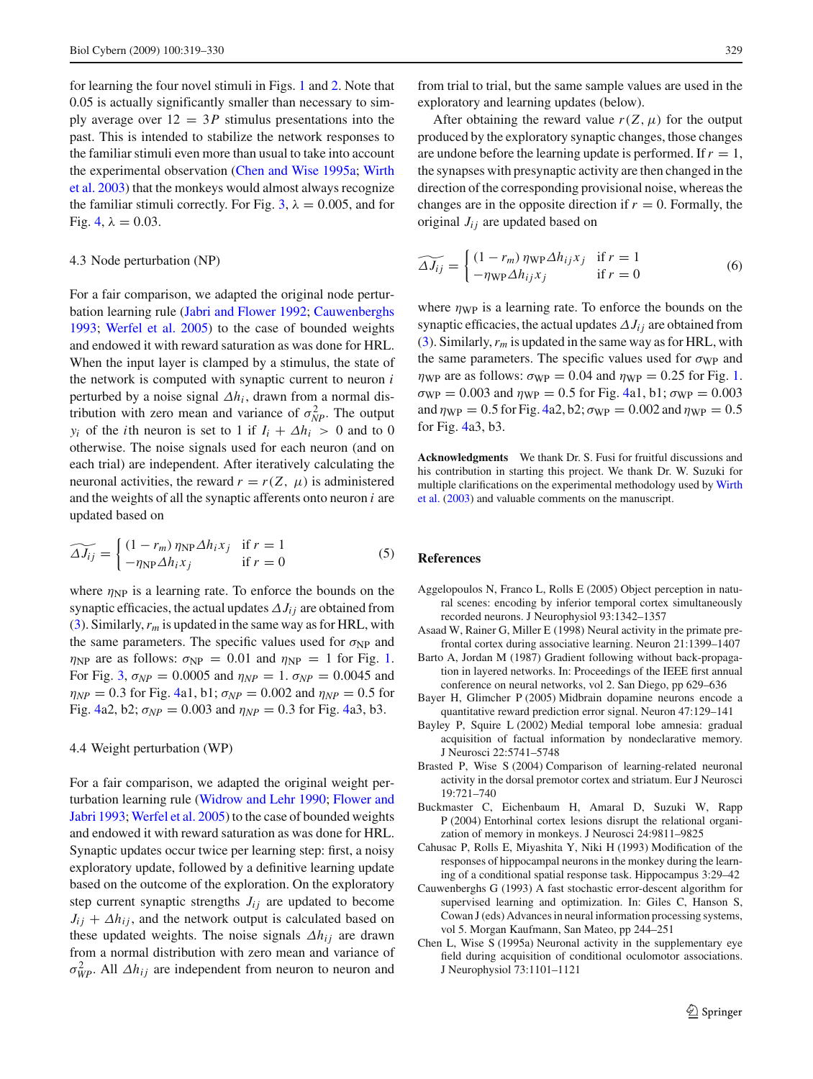for learning the four novel stimuli in Figs. 1 and [2.](#page-4-0) Note that 0.05 is actually significantly smaller than necessary to simply average over  $12 = 3P$  stimulus presentations into the past. This is intended to stabilize the network responses to the familiar stimuli even more than usual to take into account the experimental observation (Chen and Wise 1995a; Wirth et al. 2003) that the monkeys would almost always recognize the familiar stimuli correctly. For Fig. [3,](#page-6-0)  $\lambda = 0.005$ , and for Fig. 4,  $\lambda = 0.03$ .

#### 4.3 Node perturbation (NP)

For a fair comparison, we adapted the original node perturbation learning rule (Jabri and Flower 1992; Cauwenberghs 1993; Werfel et al. 2005) to the case of bounded weights and endowed it with reward saturation as was done for HRL. When the input layer is clamped by a stimulus, the state of the network is computed with synaptic current to neuron *i* perturbed by a noise signal  $\Delta h_i$ , drawn from a normal distribution with zero mean and variance of  $\sigma_{NP}^2$ . The output *y<sub>i</sub>* of the *i*th neuron is set to 1 if  $I_i + \Delta h_i > 0$  and to 0 otherwise. The noise signals used for each neuron (and on each trial) are independent. After iteratively calculating the neuronal activities, the reward  $r = r(Z, \mu)$  is administered and the weights of all the synaptic afferents onto neuron *i* are updated based on

$$
\widetilde{\Delta J_{ij}} = \begin{cases}\n(1 - r_m) \eta_{\rm NP} \Delta h_i x_j & \text{if } r = 1 \\
-\eta_{\rm NP} \Delta h_i x_j & \text{if } r = 0\n\end{cases}
$$
\n(5)

where  $\eta_{NP}$  is a learning rate. To enforce the bounds on the synaptic efficacies, the actual updates  $\Delta J_{ij}$  are obtained from (3). Similarly,*rm* is updated in the same way as for HRL, with the same parameters. The specific values used for  $\sigma_{NP}$  and  $\eta_{\text{NP}}$  are as follows:  $\sigma_{\text{NP}} = 0.01$  and  $\eta_{\text{NP}} = 1$  for Fig. 1. For Fig. [3,](#page-6-0)  $\sigma_{NP} = 0.0005$  and  $\eta_{NP} = 1$ .  $\sigma_{NP} = 0.0045$  and  $\eta_{NP} = 0.3$  for Fig. 4a1, b1;  $\sigma_{NP} = 0.002$  and  $\eta_{NP} = 0.5$  for Fig. 4a2, b2;  $\sigma_{NP} = 0.003$  and  $\eta_{NP} = 0.3$  for Fig. 4a3, b3.

#### 4.4 Weight perturbation (WP)

For a fair comparison, we adapted the original weight perturbation learning rule (Widrow and Lehr 1990; Flower and Jabri 1993; Werfel et al. 2005) to the case of bounded weights and endowed it with reward saturation as was done for HRL. Synaptic updates occur twice per learning step: first, a noisy exploratory update, followed by a definitive learning update based on the outcome of the exploration. On the exploratory step current synaptic strengths  $J_{ij}$  are updated to become  $J_{ij} + \Delta h_{ij}$ , and the network output is calculated based on these updated weights. The noise signals  $\Delta h_{ij}$  are drawn from a normal distribution with zero mean and variance of  $\sigma_{WP}^2$ . All  $\Delta h_{ij}$  are independent from neuron to neuron and

from trial to trial, but the same sample values are used in the exploratory and learning updates (below).

After obtaining the reward value  $r(Z, \mu)$  for the output produced by the exploratory synaptic changes, those changes are undone before the learning update is performed. If  $r = 1$ , the synapses with presynaptic activity are then changed in the direction of the corresponding provisional noise, whereas the changes are in the opposite direction if  $r = 0$ . Formally, the original  $J_{ij}$  are updated based on

$$
\widetilde{\Delta J_{ij}} = \begin{cases} (1 - r_m) \eta_{\text{WP}} \Delta h_{ij} x_j & \text{if } r = 1\\ -\eta_{\text{WP}} \Delta h_{ij} x_j & \text{if } r = 0 \end{cases}
$$
 (6)

where  $\eta_{WP}$  is a learning rate. To enforce the bounds on the synaptic efficacies, the actual updates  $\Delta J_{ij}$  are obtained from (3). Similarly,  $r_m$  is updated in the same way as for HRL, with the same parameters. The specific values used for  $\sigma_{WP}$  and  $\eta_{WP}$  are as follows:  $\sigma_{WP} = 0.04$  and  $\eta_{WP} = 0.25$  for Fig. 1.  $\sigma_{\rm WP} = 0.003$  and  $\eta_{\rm WP} = 0.5$  for Fig. 4a1, b1;  $\sigma_{\rm WP} = 0.003$ and  $\eta_{\text{WP}} = 0.5$  for Fig. 4a2, b2;  $\sigma_{\text{WP}} = 0.002$  and  $\eta_{\text{WP}} = 0.5$ for Fig. 4a3, b3.

**Acknowledgments** We thank Dr. S. Fusi for fruitful discussions and his contribution in starting this project. We thank Dr. W. Suzuki for multiple clarifications on the experimental methodology used by Wirth et al. (2003) and valuable comments on the manuscript.

#### **References**

- Aggelopoulos N, Franco L, Rolls E (2005) Object perception in natural scenes: encoding by inferior temporal cortex simultaneously recorded neurons. J Neurophysiol 93:1342–1357
- Asaad W, Rainer G, Miller E (1998) Neural activity in the primate prefrontal cortex during associative learning. Neuron 21:1399–1407
- Barto A, Jordan M (1987) Gradient following without back-propagation in layered networks. In: Proceedings of the IEEE first annual conference on neural networks, vol 2. San Diego, pp 629–636
- Bayer H, Glimcher P (2005) Midbrain dopamine neurons encode a quantitative reward prediction error signal. Neuron 47:129–141
- Bayley P, Squire L (2002) Medial temporal lobe amnesia: gradual acquisition of factual information by nondeclarative memory. J Neurosci 22:5741–5748
- Brasted P, Wise S (2004) Comparison of learning-related neuronal activity in the dorsal premotor cortex and striatum. Eur J Neurosci 19:721–740
- Buckmaster C, Eichenbaum H, Amaral D, Suzuki W, Rapp P (2004) Entorhinal cortex lesions disrupt the relational organization of memory in monkeys. J Neurosci 24:9811–9825
- Cahusac P, Rolls E, Miyashita Y, Niki H (1993) Modification of the responses of hippocampal neurons in the monkey during the learning of a conditional spatial response task. Hippocampus 3:29–42
- Cauwenberghs G (1993) A fast stochastic error-descent algorithm for supervised learning and optimization. In: Giles C, Hanson S, Cowan J (eds) Advances in neural information processing systems, vol 5. Morgan Kaufmann, San Mateo, pp 244–251
- Chen L, Wise S (1995a) Neuronal activity in the supplementary eye field during acquisition of conditional oculomotor associations. J Neurophysiol 73:1101–1121